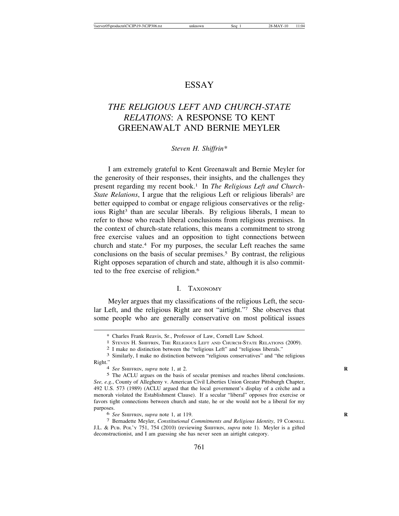## ESSAY

# *THE RELIGIOUS LEFT AND CHURCH-STATE RELATIONS*: A RESPONSE TO KENT GREENAWALT AND BERNIE MEYLER

#### *Steven H. Shiffrin\**

I am extremely grateful to Kent Greenawalt and Bernie Meyler for the generosity of their responses, their insights, and the challenges they present regarding my recent book.<sup>1</sup> In *The Religious Left and Church*-*State Relations*, I argue that the religious Left or religious liberals<sup>2</sup> are better equipped to combat or engage religious conservatives or the religious Right<sup>3</sup> than are secular liberals. By religious liberals, I mean to refer to those who reach liberal conclusions from religious premises. In the context of church-state relations, this means a commitment to strong free exercise values and an opposition to tight connections between church and state.<sup>4</sup> For my purposes, the secular Left reaches the same conclusions on the basis of secular premises.<sup>5</sup> By contrast, the religious Right opposes separation of church and state, although it is also committed to the free exercise of religion.6

#### I. TAXONOMY

Meyler argues that my classifications of the religious Left, the secular Left, and the religious Right are not "airtight."7 She observes that some people who are generally conservative on most political issues

6 *See* SHIFFRIN, *supra* note 1, at 119. **R**

7 Bernadette Meyler, *Constitutional Commitments and Religious Identity*, 19 CORNELL J.L. & PUB. POL'Y 751, 754 (2010) (reviewing SHIFFRIN, *supra* note 1). Meyler is a gifted deconstructionist, and I am guessing she has never seen an airtight category.

<sup>\*</sup> Charles Frank Reavis, Sr., Professor of Law, Cornell Law School.

<sup>&</sup>lt;sup>1</sup> STEVEN H. SHIFFRIN, THE RELIGIOUS LEFT AND CHURCH-STATE RELATIONS (2009).<br><sup>2</sup> I make no distinction between the "religious Left" and "religious liberals."<br><sup>3</sup> Similarly, I make no distinction between "religious conser

Right."4 *See* SHIFFRIN, *supra* note 1, at 2. **<sup>R</sup>**

<sup>5</sup> The ACLU argues on the basis of secular premises and reaches liberal conclusions. *See, e.g.*, County of Allegheny v. American Civil Liberties Union Greater Pittsburgh Chapter, 492 U.S. 573 (1989) (ACLU argued that the local government's display of a crèche and a menorah violated the Establishment Clause). If a secular "liberal" opposes free exercise or favors tight connections between church and state, he or she would not be a liberal for my purposes.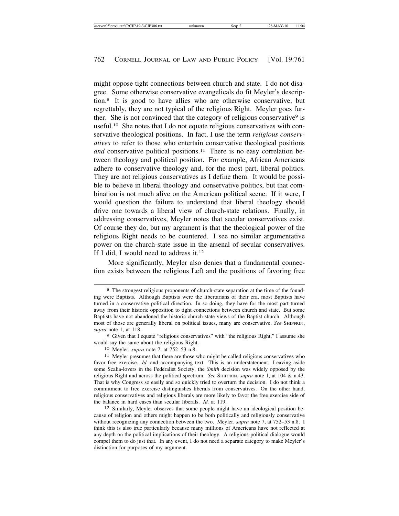might oppose tight connections between church and state. I do not disagree. Some otherwise conservative evangelicals do fit Meyler's description.8 It is good to have allies who are otherwise conservative, but regrettably, they are not typical of the religious Right. Meyler goes further. She is not convinced that the category of religious conservative $9$  is useful.10 She notes that I do not equate religious conservatives with conservative theological positions. In fact, I use the term *religious conservatives* to refer to those who entertain conservative theological positions *and* conservative political positions.<sup>11</sup> There is no easy correlation between theology and political position. For example, African Americans adhere to conservative theology and, for the most part, liberal politics. They are not religious conservatives as I define them. It would be possible to believe in liberal theology and conservative politics, but that combination is not much alive on the American political scene. If it were, I would question the failure to understand that liberal theology should drive one towards a liberal view of church-state relations. Finally, in addressing conservatives, Meyler notes that secular conservatives exist. Of course they do, but my argument is that the theological power of the religious Right needs to be countered. I see no similar argumentative power on the church-state issue in the arsenal of secular conservatives. If I did, I would need to address it.<sup>12</sup>

More significantly, Meyler also denies that a fundamental connection exists between the religious Left and the positions of favoring free

cause of religion and others might happen to be both politically and religiously conservative without recognizing any connection between the two. Meyler, *supra* note 7, at 752–53 n.8. I think this is also true particularly because many millions of Americans have not reflected at any depth on the political implications of their theology. A religious-political dialogue would compel them to do just that. In any event, I do not need a separate category to make Meyler's distinction for purposes of my argument.

<sup>8</sup> The strongest religious proponents of church-state separation at the time of the founding were Baptists. Although Baptists were the libertarians of their era, most Baptists have turned in a conservative political direction. In so doing, they have for the most part turned away from their historic opposition to tight connections between church and state. But some Baptists have not abandoned the historic church-state views of the Baptist church. Although most of those are generally liberal on political issues, many are conservative. *See* SHIFFRIN, *supra* note 1, at 118.

<sup>9</sup> Given that I equate "religious conservatives" with "the religious Right," I assume she would say the same about the religious Right.<br><sup>10</sup> Meyler, *supra* note 7, at 752–53 n.8.<br><sup>11</sup> Meyler presumes that there are those who might be called religious conservatives who

favor free exercise. *Id.* and accompanying text. This is an understatement. Leaving aside some Scalia-lovers in the Federalist Society, the *Smith* decision was widely opposed by the religious Right and across the political spectrum. *See* SHIFFRIN, *supra* note 1, at 104 & n.43. That is why Congress so easily and so quickly tried to overturn the decision. I do not think a commitment to free exercise distinguishes liberals from conservatives. On the other hand, religious conservatives and religious liberals are more likely to favor the free exercise side of the balance in hard cases than secular liberals. *Id.* at 119.<br><sup>12</sup> Similarly, Meyler observes that some people might have an ideological position be-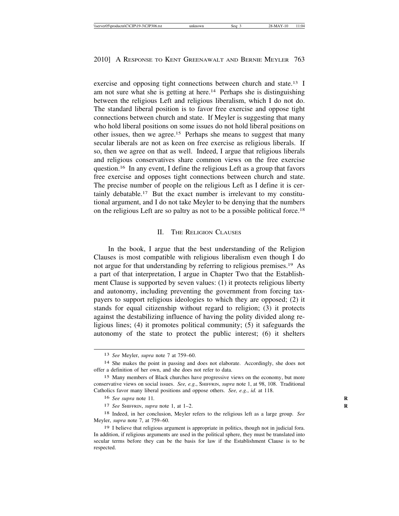exercise and opposing tight connections between church and state.13 I am not sure what she is getting at here.14 Perhaps she is distinguishing between the religious Left and religious liberalism, which I do not do. The standard liberal position is to favor free exercise and oppose tight connections between church and state. If Meyler is suggesting that many who hold liberal positions on some issues do not hold liberal positions on other issues, then we agree.15 Perhaps she means to suggest that many secular liberals are not as keen on free exercise as religious liberals. If so, then we agree on that as well. Indeed, I argue that religious liberals and religious conservatives share common views on the free exercise question.16 In any event, I define the religious Left as a group that favors free exercise and opposes tight connections between church and state. The precise number of people on the religious Left as I define it is certainly debatable.<sup>17</sup> But the exact number is irrelevant to my constitutional argument, and I do not take Meyler to be denying that the numbers on the religious Left are so paltry as not to be a possible political force.18

### II. THE RELIGION CLAUSES

In the book, I argue that the best understanding of the Religion Clauses is most compatible with religious liberalism even though I do not argue for that understanding by referring to religious premises.19 As a part of that interpretation, I argue in Chapter Two that the Establishment Clause is supported by seven values: (1) it protects religious liberty and autonomy, including preventing the government from forcing taxpayers to support religious ideologies to which they are opposed; (2) it stands for equal citizenship without regard to religion; (3) it protects against the destabilizing influence of having the polity divided along religious lines; (4) it promotes political community; (5) it safeguards the autonomy of the state to protect the public interest; (6) it shelters

<sup>13</sup> *See* Meyler, *supra* note 7 at 759–60.

<sup>14</sup> She makes the point in passing and does not elaborate. Accordingly, she does not offer a definition of her own, and she does not refer to data.

<sup>15</sup> Many members of Black churches have progressive views on the economy, but more conservative views on social issues. *See, e.g.*, SHIFFRIN, *supra* note 1, at 98, 108. Traditional Catholics favor many liberal positions and oppose others. *See, e.g.*, *id.* at 118.

<sup>16</sup> *See supra* note 11*.* **R**

<sup>17</sup> *See* SHIFFRIN, *supra* note 1, at 1–2. **R**

<sup>18</sup> Indeed, in her conclusion, Meyler refers to the religious left as a large group. *See* Meyler, *supra* note 7, at 759–60.

<sup>19</sup> I believe that religious argument is appropriate in politics, though not in judicial fora. In addition, if religious arguments are used in the political sphere, they must be translated into secular terms before they can be the basis for law if the Establishment Clause is to be respected.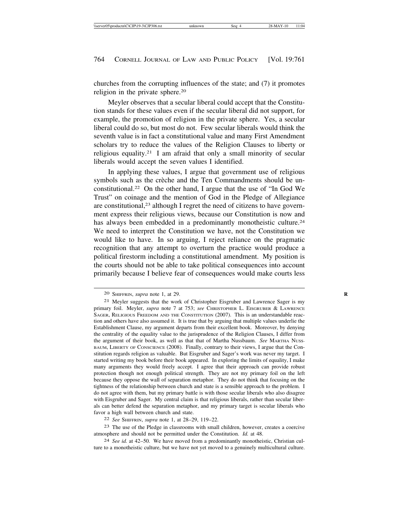churches from the corrupting influences of the state; and (7) it promotes religion in the private sphere.<sup>20</sup>

Meyler observes that a secular liberal could accept that the Constitution stands for these values even if the secular liberal did not support, for example, the promotion of religion in the private sphere. Yes, a secular liberal could do so, but most do not. Few secular liberals would think the seventh value is in fact a constitutional value and many First Amendment scholars try to reduce the values of the Religion Clauses to liberty or religious equality.<sup>21</sup> I am afraid that only a small minority of secular liberals would accept the seven values I identified.

In applying these values, I argue that government use of religious symbols such as the crèche and the Ten Commandments should be unconstitutional.22 On the other hand, I argue that the use of "In God We Trust" on coinage and the mention of God in the Pledge of Allegiance are constitutional,<sup>23</sup> although I regret the need of citizens to have government express their religious views, because our Constitution is now and has always been embedded in a predominantly monotheistic culture.<sup>24</sup> We need to interpret the Constitution we have, not the Constitution we would like to have. In so arguing, I reject reliance on the pragmatic recognition that any attempt to overturn the practice would produce a political firestorm including a constitutional amendment. My position is the courts should not be able to take political consequences into account primarily because I believe fear of consequences would make courts less

22 *See* SHIFFRIN, *supra* note 1, at 28–29, 119–22.

23 The use of the Pledge in classrooms with small children, however, creates a coercive atmosphere and should not be permitted under the Constitution. *Id.* at 48.

24 *See id.* at 42–50. We have moved from a predominantly monotheistic, Christian culture to a monotheistic culture, but we have not yet moved to a genuinely multicultural culture.

<sup>20</sup> SHIFFRIN, *supra* note 1, at 29. **R**

<sup>21</sup> Meyler suggests that the work of Christopher Eisgruber and Lawrence Sager is my primary foil. Meyler, *supra* note 7 at 753; *see* CHRISTOPHER L. EISGRUBER & LAWRENCE SAGER, RELIGIOUS FREEDOM AND THE CONSTITUTION (2007). This is an understandable reaction and others have also assumed it. It is true that by arguing that multiple values underlie the Establishment Clause, my argument departs from their excellent book. Moreover, by denying the centrality of the equality value to the jurisprudence of the Religion Clauses, I differ from the argument of their book, as well as that that of Martha Nussbaum. *See* MARTHA NUSS-BAUM, LIBERTY OF CONSCIENCE (2008). Finally, contrary to their views, I argue that the Constitution regards religion as valuable. But Eisgruber and Sager's work was never my target. I started writing my book before their book appeared. In exploring the limits of equality, I make many arguments they would freely accept. I agree that their approach can provide robust protection though not enough political strength. They are not my primary foil on the left because they oppose the wall of separation metaphor. They do not think that focusing on the tightness of the relationship between church and state is a sensible approach to the problem. I do not agree with them, but my primary battle is with those secular liberals who also disagree with Eisgruber and Sager. My central claim is that religious liberals, rather than secular liberals can better defend the separation metaphor, and my primary target is secular liberals who favor a high wall between church and state.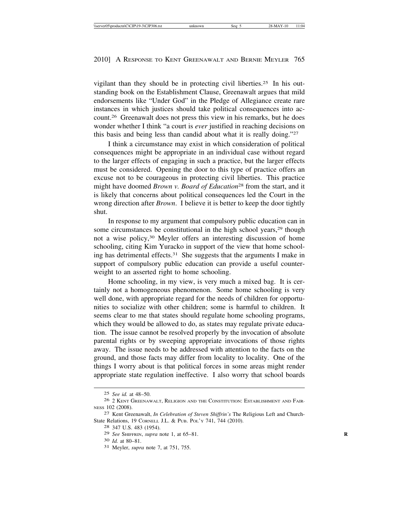vigilant than they should be in protecting civil liberties.25 In his outstanding book on the Establishment Clause, Greenawalt argues that mild endorsements like "Under God" in the Pledge of Allegiance create rare instances in which justices should take political consequences into account.26 Greenawalt does not press this view in his remarks, but he does wonder whether I think "a court is *ever* justified in reaching decisions on this basis and being less than candid about what it is really doing."27

I think a circumstance may exist in which consideration of political consequences might be appropriate in an individual case without regard to the larger effects of engaging in such a practice, but the larger effects must be considered. Opening the door to this type of practice offers an excuse not to be courageous in protecting civil liberties. This practice might have doomed *Brown v. Board of Education*28 from the start, and it is likely that concerns about political consequences led the Court in the wrong direction after *Brown*. I believe it is better to keep the door tightly shut.

In response to my argument that compulsory public education can in some circumstances be constitutional in the high school years,<sup>29</sup> though not a wise policy,30 Meyler offers an interesting discussion of home schooling, citing Kim Yuracko in support of the view that home schooling has detrimental effects.<sup>31</sup> She suggests that the arguments I make in support of compulsory public education can provide a useful counterweight to an asserted right to home schooling.

Home schooling, in my view, is very much a mixed bag. It is certainly not a homogeneous phenomenon. Some home schooling is very well done, with appropriate regard for the needs of children for opportunities to socialize with other children; some is harmful to children. It seems clear to me that states should regulate home schooling programs, which they would be allowed to do, as states may regulate private education. The issue cannot be resolved properly by the invocation of absolute parental rights or by sweeping appropriate invocations of those rights away. The issue needs to be addressed with attention to the facts on the ground, and those facts may differ from locality to locality. One of the things I worry about is that political forces in some areas might render appropriate state regulation ineffective. I also worry that school boards

<sup>25</sup> *See id.* at 48–50.

<sup>26</sup> 2 KENT GREENAWALT, RELIGION AND THE CONSTITUTION: ESTABLISHMENT AND FAIR-NESS 102 (2008).

<sup>27</sup> Kent Greenawalt, *In Celebration of Steven Shiffrin's* The Religious Left and Church-State Relations, 19 CORNELL J.L. & PUB. POL'Y 741, 744 (2010). <sup>28</sup> 347 U.S. 483 (1954).

<sup>29</sup> *See* SHIFFRIN, *supra* note 1, at 65–81. **R**

<sup>30</sup> *Id.* at 80–81. <sup>31</sup> Meyler, *supra* note 7, at 751, 755.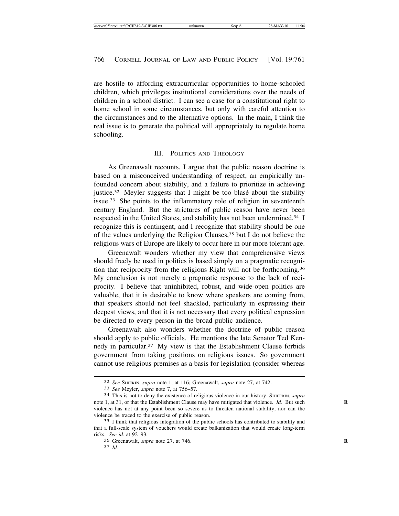are hostile to affording extracurricular opportunities to home-schooled children, which privileges institutional considerations over the needs of children in a school district. I can see a case for a constitutional right to home school in some circumstances, but only with careful attention to the circumstances and to the alternative options. In the main, I think the real issue is to generate the political will appropriately to regulate home schooling.

#### III. POLITICS AND THEOLOGY

As Greenawalt recounts, I argue that the public reason doctrine is based on a misconceived understanding of respect, an empirically unfounded concern about stability, and a failure to prioritize in achieving justice.<sup>32</sup> Meyler suggests that I might be too blasé about the stability issue.33 She points to the inflammatory role of religion in seventeenth century England. But the strictures of public reason have never been respected in the United States, and stability has not been undermined.34 I recognize this is contingent, and I recognize that stability should be one of the values underlying the Religion Clauses,<sup>35</sup> but I do not believe the religious wars of Europe are likely to occur here in our more tolerant age.

Greenawalt wonders whether my view that comprehensive views should freely be used in politics is based simply on a pragmatic recognition that reciprocity from the religious Right will not be forthcoming.36 My conclusion is not merely a pragmatic response to the lack of reciprocity. I believe that uninhibited, robust, and wide-open politics are valuable, that it is desirable to know where speakers are coming from, that speakers should not feel shackled, particularly in expressing their deepest views, and that it is not necessary that every political expression be directed to every person in the broad public audience.

Greenawalt also wonders whether the doctrine of public reason should apply to public officials. He mentions the late Senator Ted Kennedy in particular.<sup>37</sup> My view is that the Establishment Clause forbids government from taking positions on religious issues. So government cannot use religious premises as a basis for legislation (consider whereas

<sup>&</sup>lt;sup>32</sup> See SHIFRIN, supra note 1, at 116; Greenawalt, supra note 27, at 742.<br><sup>33</sup> See Meyler, supra note 7, at 756–57.<br><sup>34</sup> This is not to deny the existence of religious violence in our history, SHIFFRIN, supra note 1, at 31, or that the Establishment Clause may have mitigated that violence. *Id.* But such violence has not at any point been so severe as to threaten national stability, nor can the violence be traced to the exercise of public reason.

<sup>35</sup> I think that religious integration of the public schools has contributed to stability and that a full-scale system of vouchers would create balkanization that would create long-term risks. *See id.* at 92–93.

<sup>36</sup> Greenawalt, *supra* note 27, at 746. **R**

<sup>37</sup> *Id.*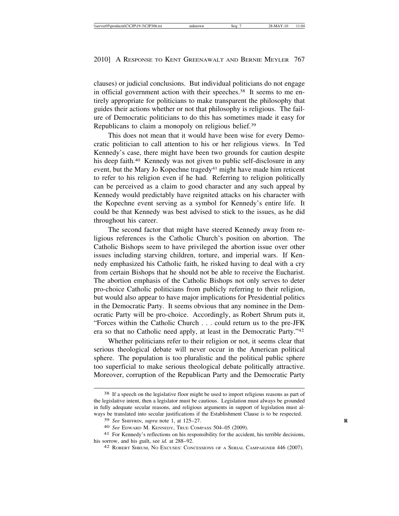clauses) or judicial conclusions. But individual politicians do not engage in official government action with their speeches.<sup>38</sup> It seems to me entirely appropriate for politicians to make transparent the philosophy that guides their actions whether or not that philosophy is religious. The failure of Democratic politicians to do this has sometimes made it easy for Republicans to claim a monopoly on religious belief.39

This does not mean that it would have been wise for every Democratic politician to call attention to his or her religious views. In Ted Kennedy's case, there might have been two grounds for caution despite his deep faith.<sup>40</sup> Kennedy was not given to public self-disclosure in any event, but the Mary Jo Kopechne tragedy<sup>41</sup> might have made him reticent to refer to his religion even if he had. Referring to religion politically can be perceived as a claim to good character and any such appeal by Kennedy would predictably have reignited attacks on his character with the Kopechne event serving as a symbol for Kennedy's entire life. It could be that Kennedy was best advised to stick to the issues, as he did throughout his career.

The second factor that might have steered Kennedy away from religious references is the Catholic Church's position on abortion. The Catholic Bishops seem to have privileged the abortion issue over other issues including starving children, torture, and imperial wars. If Kennedy emphasized his Catholic faith, he risked having to deal with a cry from certain Bishops that he should not be able to receive the Eucharist. The abortion emphasis of the Catholic Bishops not only serves to deter pro-choice Catholic politicians from publicly referring to their religion, but would also appear to have major implications for Presidential politics in the Democratic Party. It seems obvious that any nominee in the Democratic Party will be pro-choice. Accordingly, as Robert Shrum puts it, "Forces within the Catholic Church . . . could return us to the pre-JFK era so that no Catholic need apply, at least in the Democratic Party."42

Whether politicians refer to their religion or not, it seems clear that serious theological debate will never occur in the American political sphere. The population is too pluralistic and the political public sphere too superficial to make serious theological debate politically attractive. Moreover, corruption of the Republican Party and the Democratic Party

<sup>38</sup> If a speech on the legislative floor might be used to import religious reasons as part of the legislative intent, then a legislator must be cautious. Legislation must always be grounded in fully adequate secular reasons, and religious arguments in support of legislation must always be translated into secular justifications if the Establishment Clause is to be respected.

<sup>39</sup> *See* SHIFFRIN, *supra* note 1, at 125–27. **R**

<sup>40</sup> *See* EDWARD M. KENNEDY, TRUE COMPASS 504–05 (2009). <sup>41</sup> For Kennedy's reflections on his responsibility for the accident, his terrible decisions, his sorrow, and his guilt, see *id.* at 288–92.<br><sup>42</sup> ROBERT SHRUM, NO EXCUSES: CONCESSIONS OF A SERIAL CAMPAIGNER 446 (2007).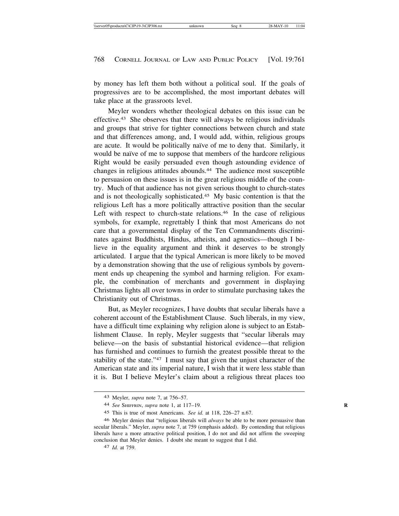by money has left them both without a political soul. If the goals of progressives are to be accomplished, the most important debates will take place at the grassroots level.

Meyler wonders whether theological debates on this issue can be effective.43 She observes that there will always be religious individuals and groups that strive for tighter connections between church and state and that differences among, and, I would add, within, religious groups are acute. It would be politically naïve of me to deny that. Similarly, it would be naïve of me to suppose that members of the hardcore religious Right would be easily persuaded even though astounding evidence of changes in religious attitudes abounds.<sup>44</sup> The audience most susceptible to persuasion on these issues is in the great religious middle of the country. Much of that audience has not given serious thought to church-states and is not theologically sophisticated.<sup>45</sup> My basic contention is that the religious Left has a more politically attractive position than the secular Left with respect to church-state relations.<sup>46</sup> In the case of religious symbols, for example, regrettably I think that most Americans do not care that a governmental display of the Ten Commandments discriminates against Buddhists, Hindus, atheists, and agnostics—though I believe in the equality argument and think it deserves to be strongly articulated. I argue that the typical American is more likely to be moved by a demonstration showing that the use of religious symbols by government ends up cheapening the symbol and harming religion. For example, the combination of merchants and government in displaying Christmas lights all over towns in order to stimulate purchasing takes the Christianity out of Christmas.

But, as Meyler recognizes, I have doubts that secular liberals have a coherent account of the Establishment Clause. Such liberals, in my view, have a difficult time explaining why religion alone is subject to an Establishment Clause. In reply, Meyler suggests that "secular liberals may believe—on the basis of substantial historical evidence—that religion has furnished and continues to furnish the greatest possible threat to the stability of the state."<sup>47</sup> I must say that given the unjust character of the American state and its imperial nature, I wish that it were less stable than it is. But I believe Meyler's claim about a religious threat places too

47 *Id.* at 759.

<sup>43</sup> Meyler, *supra* note 7, at 756–57.

<sup>44</sup> *See* SHIFFRIN, *supra* note 1, at 117–19. **R**

<sup>45</sup> This is true of most Americans. *See id.* at 118, 226–27 n.67.

<sup>46</sup> Meyler denies that "religious liberals will *always* be able to be more persuasive than secular liberals." Meyler, *supra* note 7, at 759 (emphasis added). By contending that religious liberals have a more attractive political position, I do not and did not affirm the sweeping conclusion that Meyler denies. I doubt she meant to suggest that I did.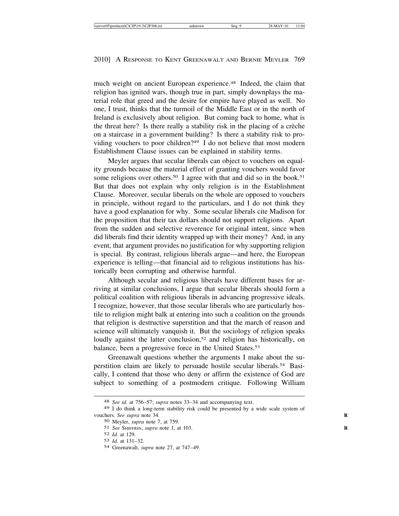much weight on ancient European experience.<sup>48</sup> Indeed, the claim that religion has ignited wars, though true in part, simply downplays the material role that greed and the desire for empire have played as well. No one, I trust, thinks that the turmoil of the Middle East or in the north of Ireland is exclusively about religion. But coming back to home, what is the threat here? Is there really a stability risk in the placing of a crèche on a staircase in a government building? Is there a stability risk to providing vouchers to poor children?<sup>49</sup> I do not believe that most modern Establishment Clause issues can be explained in stability terms.

Meyler argues that secular liberals can object to vouchers on equality grounds because the material effect of granting vouchers would favor some religions over others.<sup>50</sup> I agree with that and did so in the book.<sup>51</sup> But that does not explain why only religion is in the Establishment Clause. Moreover, secular liberals on the whole are opposed to vouchers in principle, without regard to the particulars, and I do not think they have a good explanation for why. Some secular liberals cite Madison for the proposition that their tax dollars should not support religions. Apart from the sudden and selective reverence for original intent, since when did liberals find their identity wrapped up with their money? And, in any event, that argument provides no justification for why supporting religion is special. By contrast, religious liberals argue—and here, the European experience is telling—that financial aid to religious institutions has historically been corrupting and otherwise harmful.

Although secular and religious liberals have different bases for arriving at similar conclusions, I argue that secular liberals should form a political coalition with religious liberals in advancing progressive ideals. I recognize, however, that those secular liberals who are particularly hostile to religion might balk at entering into such a coalition on the grounds that religion is destructive superstition and that the march of reason and science will ultimately vanquish it. But the sociology of religion speaks loudly against the latter conclusion,<sup>52</sup> and religion has historically, on balance, been a progressive force in the United States.<sup>53</sup>

Greenawalt questions whether the arguments I make about the superstition claim are likely to persuade hostile secular liberals.54 Basically, I contend that those who deny or affirm the existence of God are subject to something of a postmodern critique. Following William

<sup>48</sup> *See id.* at 756–57; *supra* notes 33–34 and accompanying text.

<sup>49</sup> I do think a long-term stability risk could be presented by a wide scale system of vouchers. *See supra* note 34*.* **R**

<sup>50</sup> Meyler, *supra* note 7, at 759.

<sup>51</sup> *See* SHIFFRIN, *supra* note 1, at 103. **R**

<sup>52</sup> *Id.* at 129.

<sup>53</sup> *Id.* at 131–32.

<sup>54</sup> Greenawalt, *supra* note 27, at 747–49.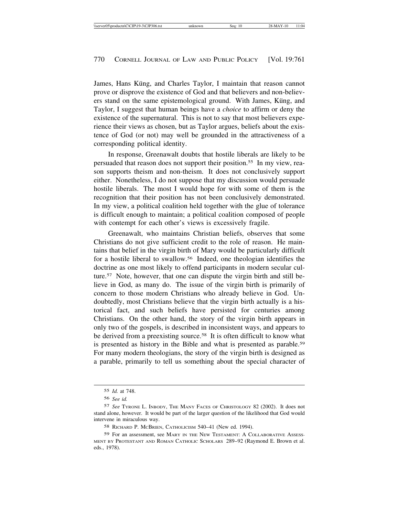James, Hans Küng, and Charles Taylor, I maintain that reason cannot prove or disprove the existence of God and that believers and non-believers stand on the same epistemological ground. With James, Küng, and Taylor, I suggest that human beings have a *choice* to affirm or deny the existence of the supernatural. This is not to say that most believers experience their views as chosen, but as Taylor argues, beliefs about the existence of God (or not) may well be grounded in the attractiveness of a corresponding political identity.

In response, Greenawalt doubts that hostile liberals are likely to be persuaded that reason does not support their position.55 In my view, reason supports theism and non-theism. It does not conclusively support either. Nonetheless, I do not suppose that my discussion would persuade hostile liberals. The most I would hope for with some of them is the recognition that their position has not been conclusively demonstrated. In my view, a political coalition held together with the glue of tolerance is difficult enough to maintain; a political coalition composed of people with contempt for each other's views is excessively fragile.

Greenawalt, who maintains Christian beliefs, observes that some Christians do not give sufficient credit to the role of reason. He maintains that belief in the virgin birth of Mary would be particularly difficult for a hostile liberal to swallow.<sup>56</sup> Indeed, one theologian identifies the doctrine as one most likely to offend participants in modern secular culture.57 Note, however, that one can dispute the virgin birth and still believe in God, as many do. The issue of the virgin birth is primarily of concern to those modern Christians who already believe in God. Undoubtedly, most Christians believe that the virgin birth actually is a historical fact, and such beliefs have persisted for centuries among Christians. On the other hand, the story of the virgin birth appears in only two of the gospels, is described in inconsistent ways, and appears to be derived from a preexisting source.<sup>58</sup> It is often difficult to know what is presented as history in the Bible and what is presented as parable.59 For many modern theologians, the story of the virgin birth is designed as a parable, primarily to tell us something about the special character of

<sup>55</sup> *Id.* at 748.

<sup>56</sup> *See id.*

<sup>57</sup> *See* TYRONE L. INBODY, THE MANY FACES OF CHRISTOLOGY 82 (2002). It does not stand alone, however. It would be part of the larger question of the likelihood that God would intervene in miraculous way.

<sup>58</sup> RICHARD P. MCBRIEN, CATHOLICISM 540–41 (New ed. 1994).

<sup>59</sup> For an assessment, see MARY IN THE NEW TESTAMENT: A COLLABORATIVE ASSESS-MENT BY PROTESTANT AND ROMAN CATHOLIC SCHOLARS 289–92 (Raymond E. Brown et al. eds., 1978).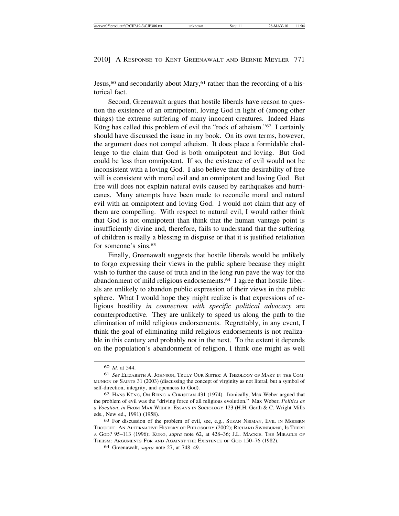Jesus,<sup>60</sup> and secondarily about Mary,<sup>61</sup> rather than the recording of a historical fact.

Second, Greenawalt argues that hostile liberals have reason to question the existence of an omnipotent, loving God in light of (among other things) the extreme suffering of many innocent creatures. Indeed Hans Küng has called this problem of evil the "rock of atheism."<sup>62</sup> I certainly should have discussed the issue in my book. On its own terms, however, the argument does not compel atheism. It does place a formidable challenge to the claim that God is both omnipotent and loving. But God could be less than omnipotent. If so, the existence of evil would not be inconsistent with a loving God. I also believe that the desirability of free will is consistent with moral evil and an omnipotent and loving God. But free will does not explain natural evils caused by earthquakes and hurricanes. Many attempts have been made to reconcile moral and natural evil with an omnipotent and loving God. I would not claim that any of them are compelling. With respect to natural evil, I would rather think that God is not omnipotent than think that the human vantage point is insufficiently divine and, therefore, fails to understand that the suffering of children is really a blessing in disguise or that it is justified retaliation for someone's sins.63

Finally, Greenawalt suggests that hostile liberals would be unlikely to forgo expressing their views in the public sphere because they might wish to further the cause of truth and in the long run pave the way for the abandonment of mild religious endorsements.<sup>64</sup> I agree that hostile liberals are unlikely to abandon public expression of their views in the public sphere. What I would hope they might realize is that expressions of religious hostility *in connection with specific political advocacy* are counterproductive. They are unlikely to speed us along the path to the elimination of mild religious endorsements. Regrettably, in any event, I think the goal of eliminating mild religious endorsements is not realizable in this century and probably not in the next. To the extent it depends on the population's abandonment of religion, I think one might as well

<sup>60</sup> *Id.* at 544.

<sup>61</sup> *See* ELIZABETH A. JOHNSON, TRULY OUR SISTER: A THEOLOGY OF MARY IN THE COM-MUNION OF SAINTS 31 (2003) (discussing the concept of virginity as not literal, but a symbol of self-direction, integrity, and openness to God).

<sup>62</sup> HANS KÜNG, ON BEING A CHRISTIAN 431 (1974). Ironically, Max Weber argued that the problem of evil was the "driving force of all religious evolution." Max Weber, *Politics as a Vocation*, *in* FROM MAX WEBER: ESSAYS IN SOCIOLOGY 123 (H.H. Gerth & C. Wright Mills eds., New ed., 1991) (1958).

<sup>63</sup> For discussion of the problem of evil, see, e.g., SUSAN NEIMAN, EVIL IN MODERN THOUGHT: AN ALTERNATIVE HISTORY OF PHILOSOPHY (2002); RICHARD SWINBURNE, IS THERE A GOD? 95–113 (1996); KUNG, *supra* note 62, at 428–36; J.L. MACKIE. THE MIRACLE OF THEISM: ARGUMENTS FOR AND AGAINST THE EXISTENCE OF GOD 150-76 (1982).

<sup>64</sup> Greenawalt, *supra* note 27, at 748–49.